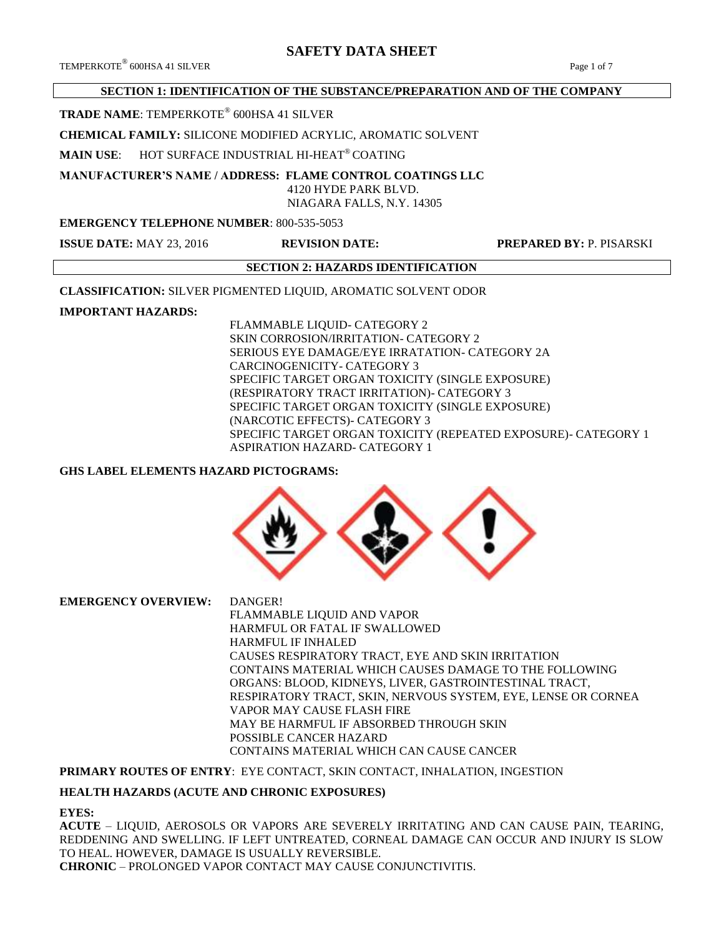$\rm{TEMPERKOTE}^{\circledR}$  600HSA 41 SILVER  $\rm{Page\ 1 of \ 7}$ 

# **SECTION 1: IDENTIFICATION OF THE SUBSTANCE/PREPARATION AND OF THE COMPANY**

**TRADE NAME**: TEMPERKOTE® 600HSA 41 SILVER

**CHEMICAL FAMILY:** SILICONE MODIFIED ACRYLIC, AROMATIC SOLVENT

**MAIN USE**: HOT SURFACE INDUSTRIAL HI-HEAT® COATING

**MANUFACTURER'S NAME / ADDRESS: FLAME CONTROL COATINGS LLC**

 4120 HYDE PARK BLVD. NIAGARA FALLS, N.Y. 14305

# **EMERGENCY TELEPHONE NUMBER**: 800-535-5053

**ISSUE DATE:** MAY 23, 2016 **REVISION DATE: PREPARED BY:** P. PISARSKI

# **SECTION 2: HAZARDS IDENTIFICATION**

**CLASSIFICATION:** SILVER PIGMENTED LIQUID, AROMATIC SOLVENT ODOR

# **IMPORTANT HAZARDS:**

FLAMMABLE LIQUID- CATEGORY 2 SKIN CORROSION/IRRITATION- CATEGORY 2 SERIOUS EYE DAMAGE/EYE IRRATATION- CATEGORY 2A CARCINOGENICITY- CATEGORY 3 SPECIFIC TARGET ORGAN TOXICITY (SINGLE EXPOSURE) (RESPIRATORY TRACT IRRITATION)- CATEGORY 3 SPECIFIC TARGET ORGAN TOXICITY (SINGLE EXPOSURE) (NARCOTIC EFFECTS)- CATEGORY 3 SPECIFIC TARGET ORGAN TOXICITY (REPEATED EXPOSURE)- CATEGORY 1 ASPIRATION HAZARD- CATEGORY 1

# **GHS LABEL ELEMENTS HAZARD PICTOGRAMS:**



**EMERGENCY OVERVIEW:** DANGER!

FLAMMABLE LIQUID AND VAPOR HARMFUL OR FATAL IF SWALLOWED HARMFUL IF INHALED CAUSES RESPIRATORY TRACT, EYE AND SKIN IRRITATION CONTAINS MATERIAL WHICH CAUSES DAMAGE TO THE FOLLOWING ORGANS: BLOOD, KIDNEYS, LIVER, GASTROINTESTINAL TRACT, RESPIRATORY TRACT, SKIN, NERVOUS SYSTEM, EYE, LENSE OR CORNEA VAPOR MAY CAUSE FLASH FIRE MAY BE HARMFUL IF ABSORBED THROUGH SKIN POSSIBLE CANCER HAZARD CONTAINS MATERIAL WHICH CAN CAUSE CANCER

**PRIMARY ROUTES OF ENTRY**: EYE CONTACT, SKIN CONTACT, INHALATION, INGESTION

# **HEALTH HAZARDS (ACUTE AND CHRONIC EXPOSURES)**

# **EYES:**

**ACUTE** – LIQUID, AEROSOLS OR VAPORS ARE SEVERELY IRRITATING AND CAN CAUSE PAIN, TEARING, REDDENING AND SWELLING. IF LEFT UNTREATED, CORNEAL DAMAGE CAN OCCUR AND INJURY IS SLOW TO HEAL. HOWEVER, DAMAGE IS USUALLY REVERSIBLE. **CHRONIC** – PROLONGED VAPOR CONTACT MAY CAUSE CONJUNCTIVITIS.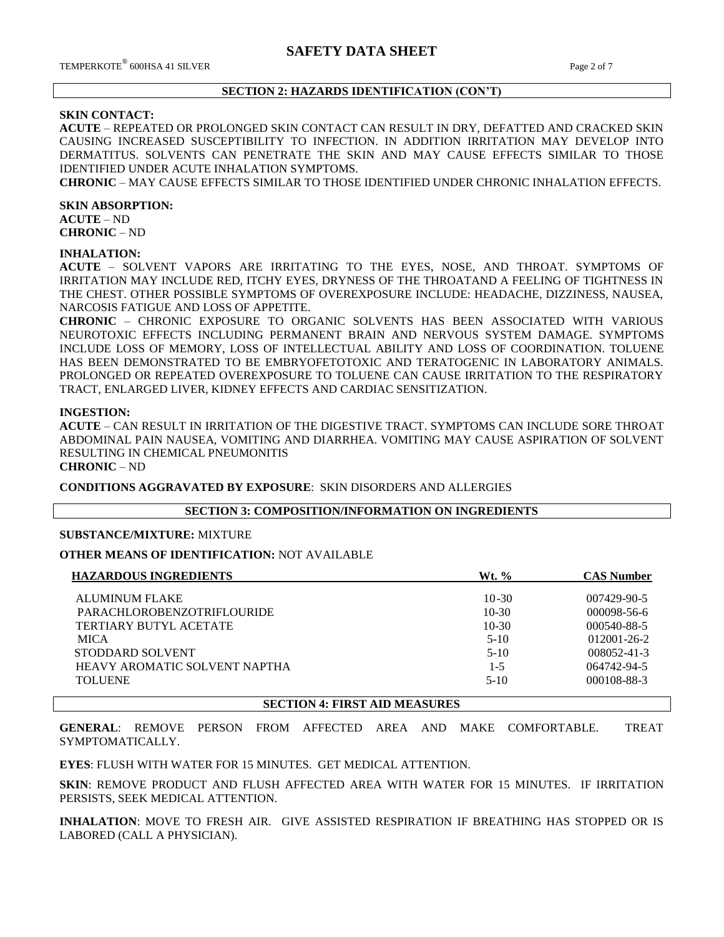# **SECTION 2: HAZARDS IDENTIFICATION (CON'T)**

# **SKIN CONTACT:**

**ACUTE** – REPEATED OR PROLONGED SKIN CONTACT CAN RESULT IN DRY, DEFATTED AND CRACKED SKIN CAUSING INCREASED SUSCEPTIBILITY TO INFECTION. IN ADDITION IRRITATION MAY DEVELOP INTO DERMATITUS. SOLVENTS CAN PENETRATE THE SKIN AND MAY CAUSE EFFECTS SIMILAR TO THOSE IDENTIFIED UNDER ACUTE INHALATION SYMPTOMS.

**CHRONIC** – MAY CAUSE EFFECTS SIMILAR TO THOSE IDENTIFIED UNDER CHRONIC INHALATION EFFECTS.

#### **SKIN ABSORPTION:**

**ACUTE** – ND **CHRONIC** – ND

#### **INHALATION:**

**ACUTE** – SOLVENT VAPORS ARE IRRITATING TO THE EYES, NOSE, AND THROAT. SYMPTOMS OF IRRITATION MAY INCLUDE RED, ITCHY EYES, DRYNESS OF THE THROATAND A FEELING OF TIGHTNESS IN THE CHEST. OTHER POSSIBLE SYMPTOMS OF OVEREXPOSURE INCLUDE: HEADACHE, DIZZINESS, NAUSEA, NARCOSIS FATIGUE AND LOSS OF APPETITE.

**CHRONIC** – CHRONIC EXPOSURE TO ORGANIC SOLVENTS HAS BEEN ASSOCIATED WITH VARIOUS NEUROTOXIC EFFECTS INCLUDING PERMANENT BRAIN AND NERVOUS SYSTEM DAMAGE. SYMPTOMS INCLUDE LOSS OF MEMORY, LOSS OF INTELLECTUAL ABILITY AND LOSS OF COORDINATION. TOLUENE HAS BEEN DEMONSTRATED TO BE EMBRYOFETOTOXIC AND TERATOGENIC IN LABORATORY ANIMALS. PROLONGED OR REPEATED OVEREXPOSURE TO TOLUENE CAN CAUSE IRRITATION TO THE RESPIRATORY TRACT, ENLARGED LIVER, KIDNEY EFFECTS AND CARDIAC SENSITIZATION.

#### **INGESTION:**

**ACUTE** – CAN RESULT IN IRRITATION OF THE DIGESTIVE TRACT. SYMPTOMS CAN INCLUDE SORE THROAT ABDOMINAL PAIN NAUSEA, VOMITING AND DIARRHEA. VOMITING MAY CAUSE ASPIRATION OF SOLVENT RESULTING IN CHEMICAL PNEUMONITIS

# **CHRONIC** – ND

**CONDITIONS AGGRAVATED BY EXPOSURE**: SKIN DISORDERS AND ALLERGIES

#### **SECTION 3: COMPOSITION/INFORMATION ON INGREDIENTS**

# **SUBSTANCE/MIXTURE:** MIXTURE

**OTHER MEANS OF IDENTIFICATION:** NOT AVAILABLE

| <b>HAZARDOUS INGREDIENTS</b>      | $Wt.$ %   | <b>CAS Number</b> |
|-----------------------------------|-----------|-------------------|
| <b>ALUMINUM FLAKE</b>             | $10 - 30$ | 007429-90-5       |
| <b>PARACHLOROBENZOTRIFLOURIDE</b> | $10-30$   | $000098 - 56 - 6$ |
| TERTIARY BUTYL ACETATE            | $10-30$   | 000540-88-5       |
| <b>MICA</b>                       | $5-10$    | $012001 - 26 - 2$ |
| STODDARD SOLVENT                  | $5-10$    | 008052-41-3       |
| HEAVY AROMATIC SOLVENT NAPTHA     | $1 - 5$   | 064742-94-5       |
| <b>TOLUENE</b>                    | $5-10$    | 000108-88-3       |
|                                   |           |                   |

#### **SECTION 4: FIRST AID MEASURES**

**GENERAL**: REMOVE PERSON FROM AFFECTED AREA AND MAKE COMFORTABLE. TREAT SYMPTOMATICALLY.

**EYES**: FLUSH WITH WATER FOR 15 MINUTES. GET MEDICAL ATTENTION.

**SKIN**: REMOVE PRODUCT AND FLUSH AFFECTED AREA WITH WATER FOR 15 MINUTES. IF IRRITATION PERSISTS, SEEK MEDICAL ATTENTION.

**INHALATION**: MOVE TO FRESH AIR. GIVE ASSISTED RESPIRATION IF BREATHING HAS STOPPED OR IS LABORED (CALL A PHYSICIAN).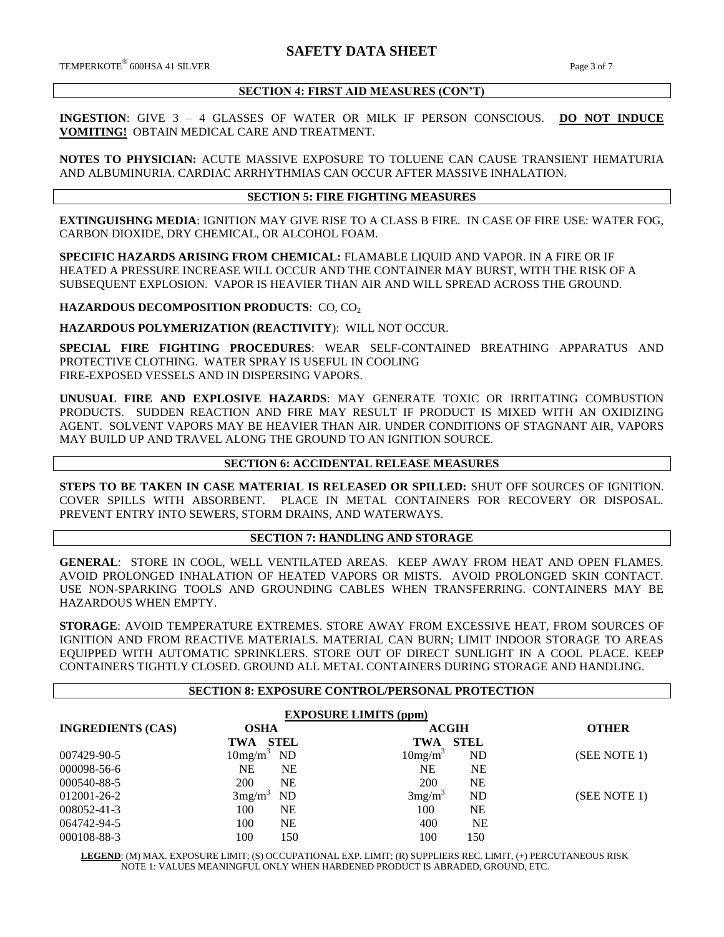## **SECTION 4: FIRST AID MEASURES (CON'T)**

**INGESTION**: GIVE 3 – 4 GLASSES OF WATER OR MILK IF PERSON CONSCIOUS. **DO NOT INDUCE VOMITING!** OBTAIN MEDICAL CARE AND TREATMENT.

**NOTES TO PHYSICIAN:** ACUTE MASSIVE EXPOSURE TO TOLUENE CAN CAUSE TRANSIENT HEMATURIA AND ALBUMINURIA. CARDIAC ARRHYTHMIAS CAN OCCUR AFTER MASSIVE INHALATION.

#### **SECTION 5: FIRE FIGHTING MEASURES**

**EXTINGUISHNG MEDIA**: IGNITION MAY GIVE RISE TO A CLASS B FIRE. IN CASE OF FIRE USE: WATER FOG, CARBON DIOXIDE, DRY CHEMICAL, OR ALCOHOL FOAM.

**SPECIFIC HAZARDS ARISING FROM CHEMICAL:** FLAMABLE LIQUID AND VAPOR. IN A FIRE OR IF HEATED A PRESSURE INCREASE WILL OCCUR AND THE CONTAINER MAY BURST, WITH THE RISK OF A SUBSEQUENT EXPLOSION. VAPOR IS HEAVIER THAN AIR AND WILL SPREAD ACROSS THE GROUND.

**HAZARDOUS DECOMPOSITION PRODUCTS: CO, CO<sub>2</sub>** 

**HAZARDOUS POLYMERIZATION (REACTIVITY**): WILL NOT OCCUR.

**SPECIAL FIRE FIGHTING PROCEDURES**: WEAR SELF-CONTAINED BREATHING APPARATUS AND PROTECTIVE CLOTHING. WATER SPRAY IS USEFUL IN COOLING FIRE-EXPOSED VESSELS AND IN DISPERSING VAPORS.

**UNUSUAL FIRE AND EXPLOSIVE HAZARDS**: MAY GENERATE TOXIC OR IRRITATING COMBUSTION PRODUCTS. SUDDEN REACTION AND FIRE MAY RESULT IF PRODUCT IS MIXED WITH AN OXIDIZING AGENT. SOLVENT VAPORS MAY BE HEAVIER THAN AIR. UNDER CONDITIONS OF STAGNANT AIR, VAPORS MAY BUILD UP AND TRAVEL ALONG THE GROUND TO AN IGNITION SOURCE.

# **SECTION 6: ACCIDENTAL RELEASE MEASURES**

**STEPS TO BE TAKEN IN CASE MATERIAL IS RELEASED OR SPILLED:** SHUT OFF SOURCES OF IGNITION. COVER SPILLS WITH ABSORBENT. PLACE IN METAL CONTAINERS FOR RECOVERY OR DISPOSAL. PREVENT ENTRY INTO SEWERS, STORM DRAINS, AND WATERWAYS.

# **SECTION 7: HANDLING AND STORAGE**

**GENERAL**: STORE IN COOL, WELL VENTILATED AREAS. KEEP AWAY FROM HEAT AND OPEN FLAMES. AVOID PROLONGED INHALATION OF HEATED VAPORS OR MISTS. AVOID PROLONGED SKIN CONTACT. USE NON-SPARKING TOOLS AND GROUNDING CABLES WHEN TRANSFERRING. CONTAINERS MAY BE HAZARDOUS WHEN EMPTY.

**STORAGE**: AVOID TEMPERATURE EXTREMES. STORE AWAY FROM EXCESSIVE HEAT, FROM SOURCES OF IGNITION AND FROM REACTIVE MATERIALS. MATERIAL CAN BURN; LIMIT INDOOR STORAGE TO AREAS EQUIPPED WITH AUTOMATIC SPRINKLERS. STORE OUT OF DIRECT SUNLIGHT IN A COOL PLACE. KEEP CONTAINERS TIGHTLY CLOSED. GROUND ALL METAL CONTAINERS DURING STORAGE AND HANDLING.

# **SECTION 8: EXPOSURE CONTROL/PERSONAL PROTECTION**

| <b>EXPOSURE LIMITS (ppm)</b> |                                      |                                  |              |  |  |
|------------------------------|--------------------------------------|----------------------------------|--------------|--|--|
| <b>INGREDIENTS (CAS)</b>     | <b>OSHA</b>                          | <b>ACGIH</b>                     | <b>OTHER</b> |  |  |
|                              | <b>STEL</b><br>TWA                   | <b>STEL</b><br>TWA               |              |  |  |
| 007429-90-5                  | 10mg/m <sup>3</sup><br>ND            | 10mg/m <sup>3</sup><br><b>ND</b> | (SEE NOTE 1) |  |  |
| 000098-56-6                  | NE<br>NE                             | <b>NE</b><br>NE                  |              |  |  |
| 000540-88-5                  | 200<br><b>NE</b>                     | 200<br><b>NE</b>                 |              |  |  |
| 012001-26-2                  | 3mg/m <sup>3</sup><br>N <sub>D</sub> | 3mg/m <sup>3</sup><br>ND         | (SEE NOTE 1) |  |  |
| 008052-41-3                  | 100<br><b>NE</b>                     | 100<br><b>NE</b>                 |              |  |  |
| 064742-94-5                  | 100<br>NE                            | 400<br><b>NE</b>                 |              |  |  |
| 000108-88-3                  | 100<br>150                           | 100<br>150                       |              |  |  |

**LEGEND**: (M) MAX. EXPOSURE LIMIT; (S) OCCUPATIONAL EXP. LIMIT; (R) SUPPLIERS REC. LIMIT, (+) PERCUTANEOUS RISK NOTE 1: VALUES MEANINGFUL ONLY WHEN HARDENED PRODUCT IS ABRADED, GROUND, ETC.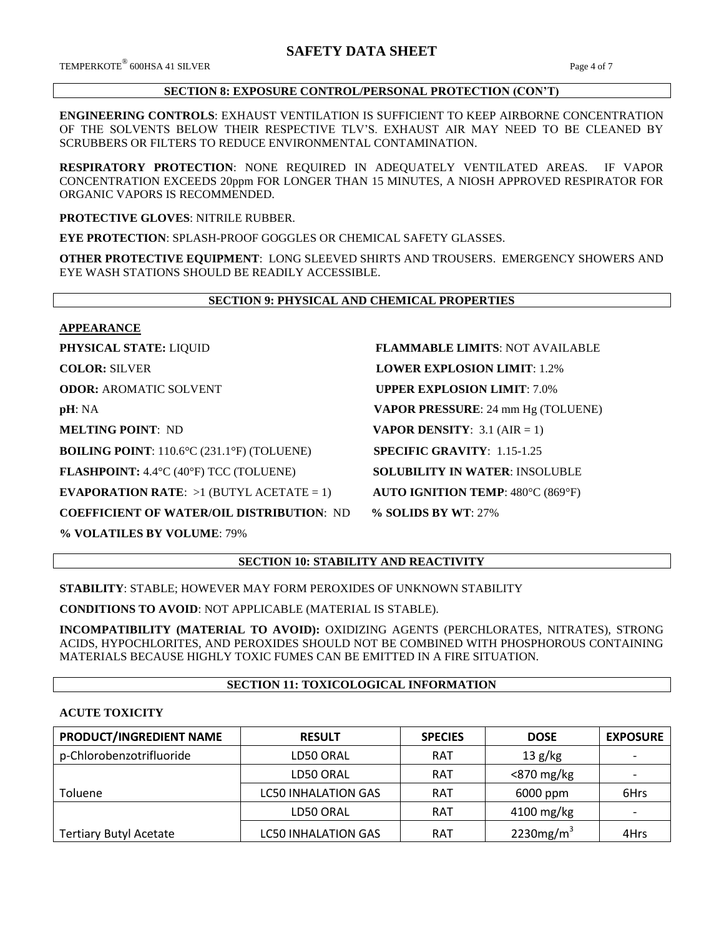$\mathrm{TEMPERKOTE}^{\circledR}$  600HSA 41 SILVER  $\hspace{150pt}$  Page 4 of 7

# **SECTION 8: EXPOSURE CONTROL/PERSONAL PROTECTION (CON'T)**

**ENGINEERING CONTROLS**: EXHAUST VENTILATION IS SUFFICIENT TO KEEP AIRBORNE CONCENTRATION OF THE SOLVENTS BELOW THEIR RESPECTIVE TLV'S. EXHAUST AIR MAY NEED TO BE CLEANED BY SCRUBBERS OR FILTERS TO REDUCE ENVIRONMENTAL CONTAMINATION.

**RESPIRATORY PROTECTION**: NONE REQUIRED IN ADEQUATELY VENTILATED AREAS. IF VAPOR CONCENTRATION EXCEEDS 20ppm FOR LONGER THAN 15 MINUTES, A NIOSH APPROVED RESPIRATOR FOR ORGANIC VAPORS IS RECOMMENDED.

**PROTECTIVE GLOVES**: NITRILE RUBBER.

**EYE PROTECTION**: SPLASH-PROOF GOGGLES OR CHEMICAL SAFETY GLASSES.

**OTHER PROTECTIVE EQUIPMENT**: LONG SLEEVED SHIRTS AND TROUSERS. EMERGENCY SHOWERS AND EYE WASH STATIONS SHOULD BE READILY ACCESSIBLE.

# **SECTION 9: PHYSICAL AND CHEMICAL PROPERTIES**

#### **APPEARANCE**

**BOILING POINT**: 110.6°C (231.1°F) (TOLUENE) **SPECIFIC GRAVITY**: 1.15-1.25

**FLASHPOINT:** 4.4°C (40°F) TCC (TOLUENE) **SOLUBILITY IN WATER**: INSOLUBLE

**EVAPORATION RATE:**  $>1$  (BUTYL ACETATE = 1) **AUTO IGNITION TEMP**: 480°C (869°F)

**COEFFICIENT OF WATER/OIL DISTRIBUTION**: ND **% SOLIDS BY WT**: 27%

**% VOLATILES BY VOLUME**: 79%

**PHYSICAL STATE:** LIQUID **FLAMMABLE LIMITS**: NOT AVAILABLE **COLOR:** SILVER **LOWER EXPLOSION LIMIT**: 1.2% **ODOR: AROMATIC SOLVENT <b>UPPER EXPLOSION LIMIT**: 7.0% **pH**: NA **VAPOR PRESSURE**: 24 mm Hg (TOLUENE) **MELTING POINT**: ND **VAPOR DENSITY**: 3.1 (AIR = 1)

# **SECTION 10: STABILITY AND REACTIVITY**

**STABILITY**: STABLE; HOWEVER MAY FORM PEROXIDES OF UNKNOWN STABILITY

**CONDITIONS TO AVOID**: NOT APPLICABLE (MATERIAL IS STABLE).

**INCOMPATIBILITY (MATERIAL TO AVOID):** OXIDIZING AGENTS (PERCHLORATES, NITRATES), STRONG ACIDS, HYPOCHLORITES, AND PEROXIDES SHOULD NOT BE COMBINED WITH PHOSPHOROUS CONTAINING MATERIALS BECAUSE HIGHLY TOXIC FUMES CAN BE EMITTED IN A FIRE SITUATION.

# **SECTION 11: TOXICOLOGICAL INFORMATION**

# **ACUTE TOXICITY**

| PRODUCT/INGREDIENT NAME       | <b>RESULT</b>              | <b>SPECIES</b> | <b>DOSE</b>   | <b>EXPOSURE</b>          |
|-------------------------------|----------------------------|----------------|---------------|--------------------------|
| p-Chlorobenzotrifluoride      | LD50 ORAL                  | <b>RAT</b>     | 13 g/kg       | $\overline{\phantom{0}}$ |
|                               | LD50 ORAL                  | <b>RAT</b>     | $<$ 870 mg/kg | $\overline{\phantom{0}}$ |
| <b>Toluene</b>                | <b>LC50 INHALATION GAS</b> | <b>RAT</b>     | 6000 ppm      | 6Hrs                     |
|                               | LD50 ORAL                  | <b>RAT</b>     | 4100 mg/kg    |                          |
| <b>Tertiary Butyl Acetate</b> | <b>LC50 INHALATION GAS</b> | <b>RAT</b>     | 2230 $mg/m3$  | 4Hrs                     |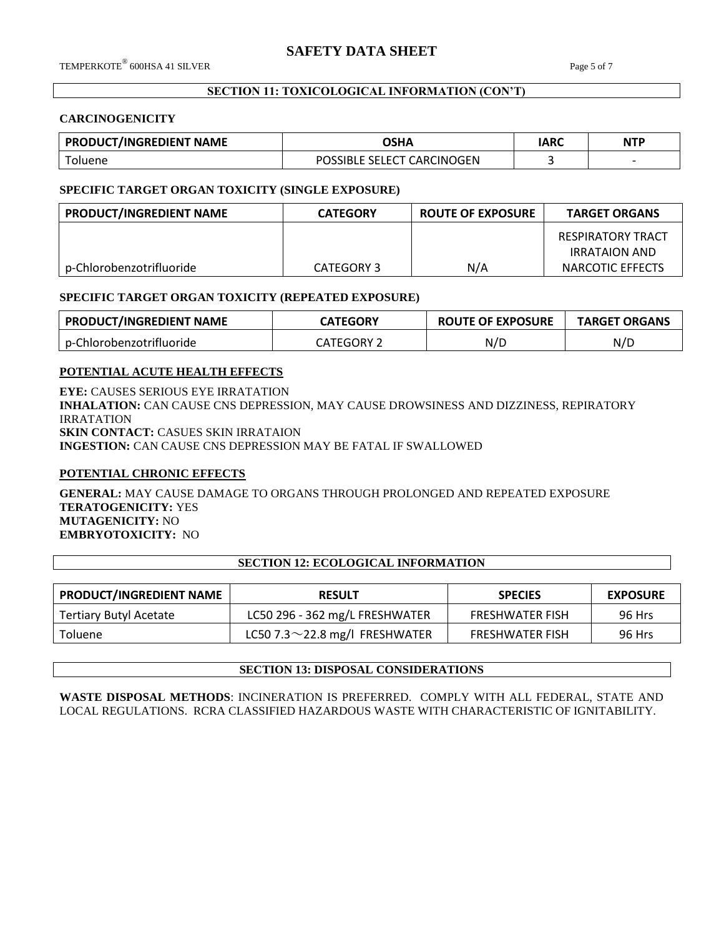# **SECTION 11: TOXICOLOGICAL INFORMATION (CON'T)**

#### **CARCINOGENICITY**

| <b>PRODUCT/INGREDIENT NAME</b> | OSHA                       | IARC | <b>NTP</b>               |
|--------------------------------|----------------------------|------|--------------------------|
| <sup>-</sup> oluene            | POSSIBLE SELECT CARCINOGEN |      | $\overline{\phantom{0}}$ |

# **SPECIFIC TARGET ORGAN TOXICITY (SINGLE EXPOSURE)**

| PRODUCT/INGREDIENT NAME  | <b>CATEGORY</b> | <b>ROUTE OF EXPOSURE</b> | <b>TARGET ORGANS</b>               |
|--------------------------|-----------------|--------------------------|------------------------------------|
|                          |                 |                          | RESPIRATORY TRACT<br>IRRATAION AND |
| p-Chlorobenzotrifluoride | CATEGORY 3      | N/A                      | NARCOTIC EFFECTS                   |

#### **SPECIFIC TARGET ORGAN TOXICITY (REPEATED EXPOSURE)**

| <b>PRODUCT/INGREDIENT NAME</b>  | <b>LATEGORY</b> | <b>ROUTE OF EXPOSURE</b> | <b>TARGET ORGANS</b> |
|---------------------------------|-----------------|--------------------------|----------------------|
| Chlorobenzotrifluoride<br>$n-0$ | FGORY<br>rego   | N/L                      | N/D                  |

# **POTENTIAL ACUTE HEALTH EFFECTS**

**EYE:** CAUSES SERIOUS EYE IRRATATION **INHALATION:** CAN CAUSE CNS DEPRESSION, MAY CAUSE DROWSINESS AND DIZZINESS, REPIRATORY IRRATATION **SKIN CONTACT:** CASUES SKIN IRRATAION **INGESTION:** CAN CAUSE CNS DEPRESSION MAY BE FATAL IF SWALLOWED

# **POTENTIAL CHRONIC EFFECTS**

**GENERAL:** MAY CAUSE DAMAGE TO ORGANS THROUGH PROLONGED AND REPEATED EXPOSURE **TERATOGENICITY:** YES **MUTAGENICITY:** NO **EMBRYOTOXICITY:** NO

# **SECTION 12: ECOLOGICAL INFORMATION**

| <b>PRODUCT/INGREDIENT NAME</b> | <b>RESULT</b>                        | <b>SPECIES</b>         | <b>EXPOSURE</b> |
|--------------------------------|--------------------------------------|------------------------|-----------------|
| Tertiary Butyl Acetate         | LC50 296 - 362 mg/L FRESHWATER       | <b>FRESHWATER FISH</b> | 96 Hrs          |
| Toluene                        | LC50 7.3 $\sim$ 22.8 mg/l FRESHWATER | <b>FRESHWATER FISH</b> | 96 Hrs          |

# **SECTION 13: DISPOSAL CONSIDERATIONS**

**WASTE DISPOSAL METHODS**: INCINERATION IS PREFERRED. COMPLY WITH ALL FEDERAL, STATE AND LOCAL REGULATIONS. RCRA CLASSIFIED HAZARDOUS WASTE WITH CHARACTERISTIC OF IGNITABILITY.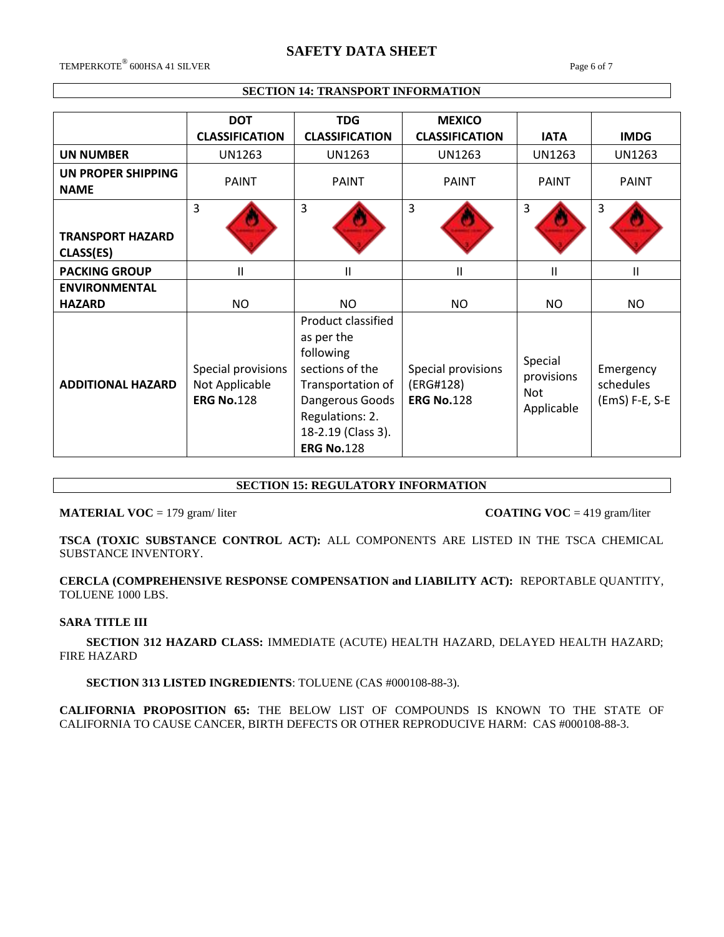# **SAFETY DATA SHEET**

 $\rm{TEMPERKOTE}^{\circledR}$  600HSA 41 SILVER  $\rm{Page\ 6}$  of  $7$ 

# **SECTION 14: TRANSPORT INFORMATION**

|                                      | <b>DOT</b><br><b>CLASSIFICATION</b>                       | <b>TDG</b><br><b>CLASSIFICATION</b>                                                                                                                                    | <b>MEXICO</b><br><b>CLASSIFICATION</b>               | <b>IATA</b>                                       | <b>IMDG</b>                              |
|--------------------------------------|-----------------------------------------------------------|------------------------------------------------------------------------------------------------------------------------------------------------------------------------|------------------------------------------------------|---------------------------------------------------|------------------------------------------|
| <b>UN NUMBER</b>                     | <b>UN1263</b>                                             | UN1263                                                                                                                                                                 | UN1263                                               | UN1263                                            | UN1263                                   |
| UN PROPER SHIPPING<br><b>NAME</b>    | <b>PAINT</b>                                              | <b>PAINT</b>                                                                                                                                                           | <b>PAINT</b>                                         | <b>PAINT</b>                                      | <b>PAINT</b>                             |
| <b>TRANSPORT HAZARD</b><br>CLASS(ES) | 3                                                         | $\overline{3}$                                                                                                                                                         | $\overline{3}$                                       | 3                                                 | 3                                        |
| <b>PACKING GROUP</b>                 | Ш                                                         | П                                                                                                                                                                      | Ш                                                    | Ш                                                 | $\mathsf{II}$                            |
| <b>ENVIRONMENTAL</b>                 |                                                           |                                                                                                                                                                        |                                                      |                                                   |                                          |
| <b>HAZARD</b>                        | <b>NO</b>                                                 | NO.                                                                                                                                                                    | <b>NO</b>                                            | NO.                                               | NO.                                      |
| <b>ADDITIONAL HAZARD</b>             | Special provisions<br>Not Applicable<br><b>ERG No.128</b> | Product classified<br>as per the<br>following<br>sections of the<br>Transportation of<br>Dangerous Goods<br>Regulations: 2.<br>18-2.19 (Class 3).<br><b>ERG No.128</b> | Special provisions<br>(ERG#128)<br><b>ERG No.128</b> | Special<br>provisions<br><b>Not</b><br>Applicable | Emergency<br>schedules<br>(EmS) F-E, S-E |

# **SECTION 15: REGULATORY INFORMATION**

**MATERIAL VOC** = 179 gram/ liter **COATING VOC** = 419 gram/liter

**TSCA (TOXIC SUBSTANCE CONTROL ACT):** ALL COMPONENTS ARE LISTED IN THE TSCA CHEMICAL SUBSTANCE INVENTORY.

**CERCLA (COMPREHENSIVE RESPONSE COMPENSATION and LIABILITY ACT):** REPORTABLE QUANTITY, TOLUENE 1000 LBS.

#### **SARA TITLE III**

 **SECTION 312 HAZARD CLASS:** IMMEDIATE (ACUTE) HEALTH HAZARD, DELAYED HEALTH HAZARD; FIRE HAZARD

 **SECTION 313 LISTED INGREDIENTS**: TOLUENE (CAS #000108-88-3).

**CALIFORNIA PROPOSITION 65:** THE BELOW LIST OF COMPOUNDS IS KNOWN TO THE STATE OF CALIFORNIA TO CAUSE CANCER, BIRTH DEFECTS OR OTHER REPRODUCIVE HARM: CAS #000108-88-3.